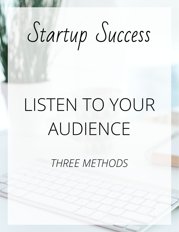# Startup Success

## LISTEN TO YOUR AUDIENCE

*THREE METHODS*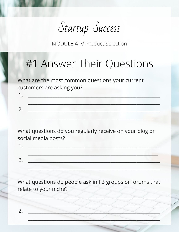Startup Success

#### #1 Answer Their Questions

What are the most common questions your current customers are asking you?

What questions do you regularly receive on your blog or social media posts?

1. The contract of the contract of the contract of the contract of the contract of the contract of the contract of  $2.$ 

What questions do people ask in FB groups or forums that relate to your niche?

 $\overline{2}$ .

 $\sim$ 

 $1.$ 

 $2.$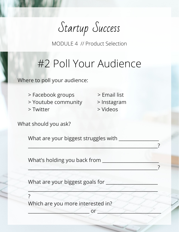Startup Success

### #2 Poll Your Audience

Where to poll your audience:

> Facebook groups > Email list > Youtube community > Instagram > Twitter > Videos

What should you ask?

What are your biggest struggles with \_\_\_\_\_\_\_\_\_\_\_\_\_\_\_\_\_

What's holding you back from \_\_\_\_\_\_\_\_\_\_\_\_\_\_\_\_\_\_\_\_\_\_\_\_

What are your biggest goals for \_\_\_\_\_\_\_\_\_\_\_\_\_\_\_\_\_\_\_\_\_\_

?

Which are you more interested in?

\_\_\_\_\_\_\_\_\_\_\_\_\_\_\_\_\_\_\_\_\_\_\_\_\_\_ or \_\_\_\_\_\_\_\_\_\_\_\_\_\_\_\_\_\_\_\_\_\_\_\_\_\_\_

 $\mathscr{A} \subset \mathscr{A} \subset \mathscr{A} \subset \mathscr{A} \subset \mathscr{A} \subset \mathscr{A}$ 

 $\sim$  . The contract of the contract of the contract of the contract of the contract of  $\sim$  .

\_\_\_\_\_\_\_\_\_\_\_\_\_\_\_\_\_\_\_\_\_\_\_\_\_\_\_\_\_\_\_\_\_\_\_\_\_\_\_\_\_\_\_\_\_\_\_\_\_\_\_\_\_\_\_?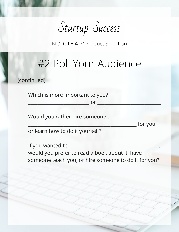Startup Success

#### #2 Poll Your Audience

(continued)

Which is more important to you?

 $\mathsf{or}$   $\blacksquare$ 

Would you rather hire someone to

for you,

or learn how to do it yourself?

If you wanted to \_\_\_\_\_\_\_\_\_\_\_\_\_\_\_\_\_\_\_\_\_\_\_\_\_\_\_\_\_\_\_\_\_\_\_\_\_\_, would you prefer to read a book about it, have someone teach you, or hire someone to do it for you?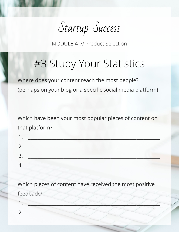Startup Success

### #3 Study Your Statistics

Where does your content reach the most people? (perhaps on your blog or a specific social media platform)

 $\frac{1}{2}$  ,  $\frac{1}{2}$  ,  $\frac{1}{2}$  ,  $\frac{1}{2}$  ,  $\frac{1}{2}$  ,  $\frac{1}{2}$  ,  $\frac{1}{2}$  ,  $\frac{1}{2}$  ,  $\frac{1}{2}$  ,  $\frac{1}{2}$  ,  $\frac{1}{2}$  ,  $\frac{1}{2}$  ,  $\frac{1}{2}$  ,  $\frac{1}{2}$  ,  $\frac{1}{2}$  ,  $\frac{1}{2}$  ,  $\frac{1}{2}$  ,  $\frac{1}{2}$  ,  $\frac{1$ 

Which have been your most popular pieces of content on that platform?

Which pieces of content have received the most positive feedback?

1. \_\_\_\_\_\_\_\_\_\_\_\_\_\_\_\_\_\_\_\_\_\_\_\_\_\_\_\_\_\_\_\_\_\_\_\_\_\_\_\_\_\_\_\_\_\_\_\_\_\_\_\_\_\_\_\_ 2. \_\_\_\_\_\_\_\_\_\_\_\_\_\_\_\_\_\_\_\_\_\_\_\_\_\_\_\_\_\_\_\_\_\_\_\_\_\_\_\_\_\_\_\_\_\_\_\_\_\_\_\_\_\_\_\_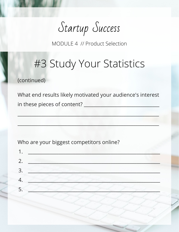Startup Success

#### #3 Study Your Statistics

(continued)

What end results likely motivated your audience's interest in these pieces of content?

Who are your biggest competitors online?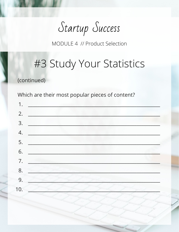Startup Success

#### #3 Study Your Statistics

(continued)

Which are their most popular pieces of content?

| 1.  |    |
|-----|----|
| 2.  |    |
|     | 3. |
|     | 4. |
|     | 5. |
|     | 6. |
| 7.  |    |
| 8.  |    |
| 9.  |    |
| 10. |    |
|     |    |
|     |    |